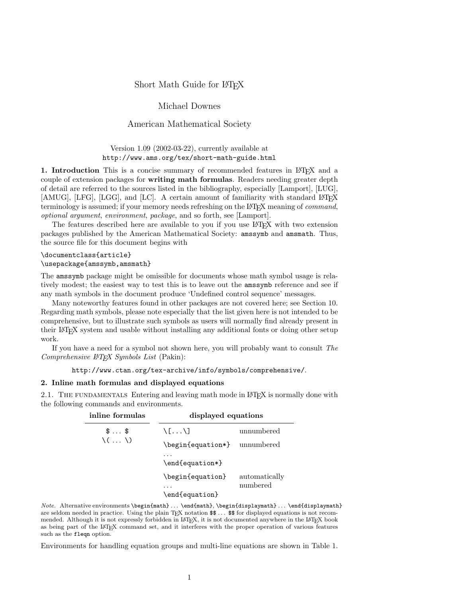Short Math Guide for L<sup>AT</sup>EX

# Michael Downes

# American Mathematical Society

# Version 1.09 (2002-03-22), currently available at http://www.ams.org/tex/short-math-guide.html

1. Introduction This is a concise summary of recommended features in LATEX and a couple of extension packages for writing math formulas. Readers needing greater depth of detail are referred to the sources listed in the bibliography, especially [Lamport], [LUG], [AMUG], [LFG], [LGG], and [LC]. A certain amount of familiarity with standard LATEX terminology is assumed; if your memory needs refreshing on the LAT<sub>EX</sub> meaning of *command*, optional argument, environment, package, and so forth, see [Lamport].

The features described here are available to you if you use LAT<sub>EX</sub> with two extension packages published by the American Mathematical Society: amssymb and amsmath. Thus, the source file for this document begins with

# \documentclass{article} \usepackage{amssymb,amsmath}

The amssymb package might be omissible for documents whose math symbol usage is relatively modest; the easiest way to test this is to leave out the amssymb reference and see if any math symbols in the document produce 'Undefined control sequence' messages.

Many noteworthy features found in other packages are not covered here; see Section 10. Regarding math symbols, please note especially that the list given here is not intended to be comprehensive, but to illustrate such symbols as users will normally find already present in their LATEX system and usable without installing any additional fonts or doing other setup work.

If you have a need for a symbol not shown here, you will probably want to consult The  $Comprehensive$   $\cancel{B}$   $\cancel{T}_{F}X$   $\cancel{S}$ *ymbols List* (Pakin):

#### http://www.ctan.org/tex-archive/info/symbols/comprehensive/.

### 2. Inline math formulas and displayed equations

2.1. THE FUNDAMENTALS Entering and leaving math mode in LAT<sub>E</sub>X is normally done with the following commands and environments.

| inline formulas                      | displayed equations          |               |  |
|--------------------------------------|------------------------------|---------------|--|
| $\text{\$} \ldots \text{\$}$         | $\setminus$ [, $\setminus$ ] | unnumbered    |  |
| $\setminus$ ( $\ldots$ $\setminus$ ) | \begin{equation*}            | unnumbered    |  |
|                                      | \end{equation*}              |               |  |
|                                      | \begin{equation}             | automatically |  |
|                                      | \end{equation}               | numbered      |  |

Note. Alternative environments \begin{math} ... \end{math}, \begin{displaymath} ... \end{displaymath} are seldom needed in practice. Using the plain TEX notation \$\$ . . . \$\$ for displayed equations is not recommended. Although it is not expressly forbidden in LATEX, it is not documented anywhere in the LATEX book as being part of the LATEX command set, and it interferes with the proper operation of various features such as the fleqn option.

Environments for handling equation groups and multi-line equations are shown in Table 1.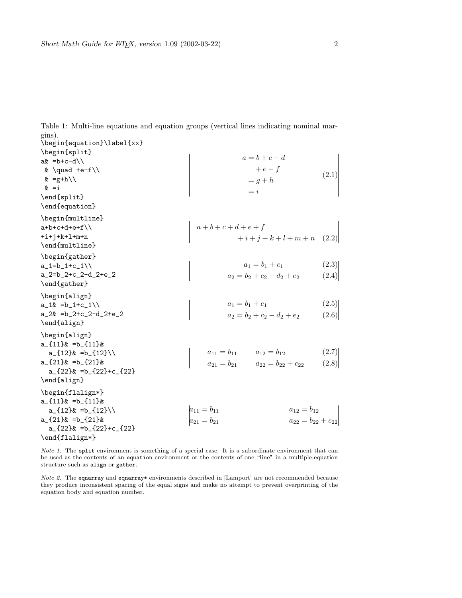| gins).<br>\begin{equation}\label{xx}<br>\begin{split}<br>$ak = b + c - d$<br>& $\quad -f \\\$<br>& =g+h\\                                             | $a=b+c-d$<br>$+e-f$<br>$= g + h$                                                          | (2.1)          |
|-------------------------------------------------------------------------------------------------------------------------------------------------------|-------------------------------------------------------------------------------------------|----------------|
| $\&$ =i<br>\end{split}<br>\end{equation}                                                                                                              | $= i$                                                                                     |                |
| \begin{multline}<br>$a+b+c+d+e+f \backslash$<br>$+i+j+k+1+m+n$<br>\end{multline}                                                                      | $\begin{array}{c c} a+b+c+d+e+f & \\ & +i+j+k+l+m+n & (2.2) \end{array}$                  |                |
| \begin{gather}<br>$a_1=b_1+c_1 \$<br>$a_{2}=b_{2}+c_{2}-d_{2}+e_{2}$<br>\end{gather}                                                                  | $a_1 = b_1 + c_1$<br>$a_2 = b_2 + c_2 - d_2 + e_2$                                        | (2.3)<br>(2.4) |
| \begin{align}<br>$a_1\& =b_1+c_1\$<br>$a_2x = b_2+c_2-d_2+e_2$<br>\end{align}                                                                         | $a_1 = b_1 + c_1$<br>$a_2 = b_2 + c_2 - d_2 + e_2$                                        | (2.5)<br>(2.6) |
| \begin{align}<br>$a_{-11}$ $\&$ =b_{11} &<br>$a_{12}$ =b_{12}\\<br>$a_{21}$ =b_{21} &<br>$a_{22}$ =b_{22}+c_{22}}<br>\end{align}                      | $a_{11} = b_{11}$ $a_{12} = b_{12}$<br>$a_{21} = b_{21}$ $a_{22} = b_{22} + c_{22}$       | (2.7)<br>(2.8) |
| \begin{flalign*}<br>$a_{11}$ $\&$ =b <sub>-</sub> {11} $\&$<br>$a_{12}$ =b_{12}\\<br>$a_{21}$ =b_{21} &<br>$a_{22}$ =b_{22}+c_{22}}<br>\end{flalign*} | $a_{12}=b_{12}$<br>$ a_{11} = b_{11} $<br>$a_{22} = b_{22} + c_{22}$<br>$a_{21} = b_{21}$ |                |

Table 1: Multi-line equations and equation groups (vertical lines indicating nominal mar-

Note 1. The split environment is something of a special case. It is a subordinate environment that can be used as the contents of an equation environment or the contents of one "line" in a multiple-equation structure such as align or gather.

Note 2. The eqnarray and eqnarray\* environments described in [Lamport] are not recommended because they produce inconsistent spacing of the equal signs and make no attempt to prevent overprinting of the equation body and equation number.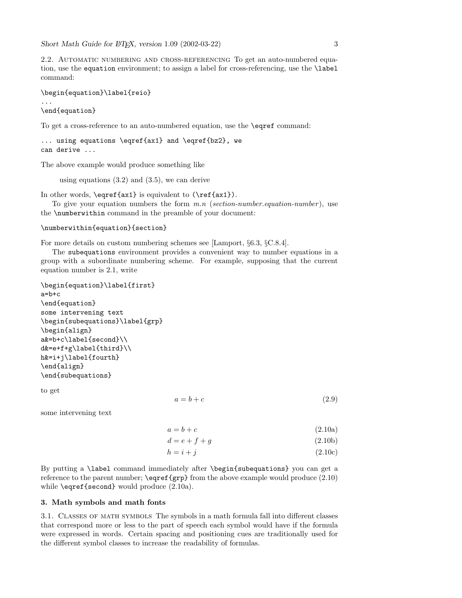2.2. Automatic numbering and cross-referencing To get an auto-numbered equation, use the equation environment; to assign a label for cross-referencing, use the \label command:

```
\begin{equation}\label{reio}
```
...

\end{equation}

To get a cross-reference to an auto-numbered equation, use the \eqref command:

```
... using equations \eqref{ax1} and \eqref{bz2}, we
can derive ...
```
The above example would produce something like

using equations  $(3.2)$  and  $(3.5)$ , we can derive

In other words,  $\sqrt{\arctan}$  is equivalent to  $(\ref{ax1})$ .

To give your equation numbers the form  $m.n$  (section-number.equation-number), use the \numberwithin command in the preamble of your document:

### \numberwithin{equation}{section}

For more details on custom numbering schemes see [Lamport, §6.3, §C.8.4].

The subequations environment provides a convenient way to number equations in a group with a subordinate numbering scheme. For example, supposing that the current equation number is 2.1, write

```
\begin{equation}\label{first}
a=b+c
\end{equation}
some intervening text
\begin{subequations}\label{grp}
\begin{align}
a&=b+c\label{second}\\
d&=e+f+g\label{third}\\
h&=i+j\label{fourth}
\end{align}
\end{subequations}
```
to get

 $a = b + c$  (2.9)

some intervening text

```
a = b + c (2.10a)
```

$$
d = e + f + g \tag{2.10b}
$$

 $h = i + j$  (2.10c)

By putting a \label command immediately after \begin{subequations} you can get a reference to the parent number;  $\equiv$   $\equiv$   $\equiv$   $\pm$  from the above example would produce (2.10) while **\eqref{second}** would produce  $(2.10a)$ .

### 3. Math symbols and math fonts

3.1. Classes of math symbols The symbols in a math formula fall into different classes that correspond more or less to the part of speech each symbol would have if the formula were expressed in words. Certain spacing and positioning cues are traditionally used for the different symbol classes to increase the readability of formulas.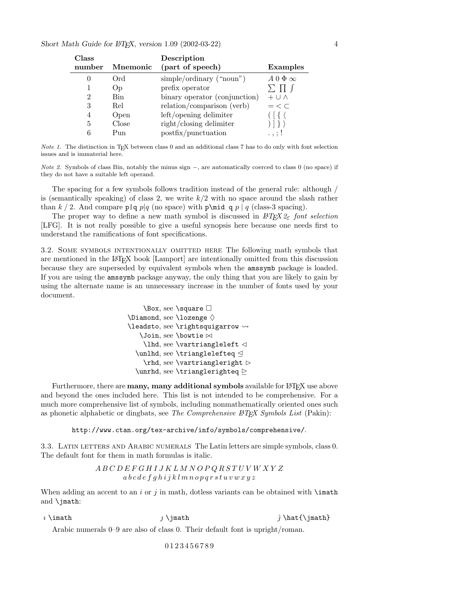| Class    |            | Description                   |                     |
|----------|------------|-------------------------------|---------------------|
| number   | Mnemonic   | (part of speech)              | <b>Examples</b>     |
| $\theta$ | Ord        | $simple/ordinary$ ("noun")    | $A\,0\,\Phi \infty$ |
|          | <b>Op</b>  | prefix operator               | ΣHI                 |
| 2        | <b>Bin</b> | binary operator (conjunction) | $+$ U $\wedge$      |
| 3        | Rel        | relation/comparison (verb)    | $=$ < $\subset$     |
| 4        | Open       | left/opening delimiter        |                     |
| 5        | Close      | right/closing delimiter       |                     |
| 6        | Pun        | postfix/punctuation           |                     |

Note 1. The distinction in TEX between class  $0$  and an additional class  $7$  has to do only with font selection issues and is immaterial here.

Note 2. Symbols of class Bin, notably the minus sign –, are automatically coerced to class 0 (no space) if they do not have a suitable left operand.

The spacing for a few symbols follows tradition instead of the general rule: although / is (semantically speaking) of class 2, we write  $k/2$  with no space around the slash rather than k / 2. And compare  $p|q$  (no space) with  $p\mid q$  q  $p|q$  (class-3 spacing).

The proper way to define a new math symbol is discussed in  $\mathcal{B}T_F X \mathcal{Z}_{\varepsilon}$  font selection [LFG]. It is not really possible to give a useful synopsis here because one needs first to understand the ramifications of font specifications.

3.2. Some symbols intentionally omitted here The following math symbols that are mentioned in the LATEX book [Lamport] are intentionally omitted from this discussion because they are superseded by equivalent symbols when the amssymb package is loaded. If you are using the amssymb package anyway, the only thing that you are likely to gain by using the alternate name is an unnecessary increase in the number of fonts used by your document.

|                                 | \Box, see \square □                       |
|---------------------------------|-------------------------------------------|
| <b>\Diamond, see \lozenge ◇</b> |                                           |
|                                 | $\lambda \gg 1$ eadsto, see $\rightarrow$ |
|                                 | $\lambda$ see $\lambda$ and $\lambda$     |
|                                 | <b>\lhd, see \vartriangleleft &lt;</b>    |
|                                 | \unlhd, see \trianglelefteq △             |
|                                 | <b>\rhd, see \vartriangleright</b> ⊳      |
|                                 | \unrhd, see \trianglerighteq ⊵            |

Furthermore, there are **many, many additional symbols** available for LAT<sub>E</sub>X use above and beyond the ones included here. This list is not intended to be comprehensive. For a much more comprehensive list of symbols, including nonmathematically oriented ones such as phonetic alphabetic or dingbats, see The Comprehensive  $\mathbb{P}T$ <sub>EX</sub> Symbols List (Pakin):

http://www.ctan.org/tex-archive/info/symbols/comprehensive/.

3.3. Latin letters and Arabic numerals The Latin letters are simple symbols, class 0. The default font for them in math formulas is italic.

> A B C D E F G H I J K L M N O P Q R S T U V W X Y Z  $a \, b \, c \, d \, e \, f \, g \, h \, i \, j \, k \, l \, m \, n \, o \, p \, q \, r \, s \, t \, u \, v \, w \, x \, y \, z$

When adding an accent to an i or j in math, dotless variants can be obtained with  $\lambda$  in and \jmath:

 $\iota$  \imath  $\iota$   $\iota$  \imath  $\iota$  \imath  $\iota$  \imath  $\iota$  \imath}

Arabic numerals 0–9 are also of class 0. Their default font is upright/roman.

0 1 2 3 4 5 6 7 8 9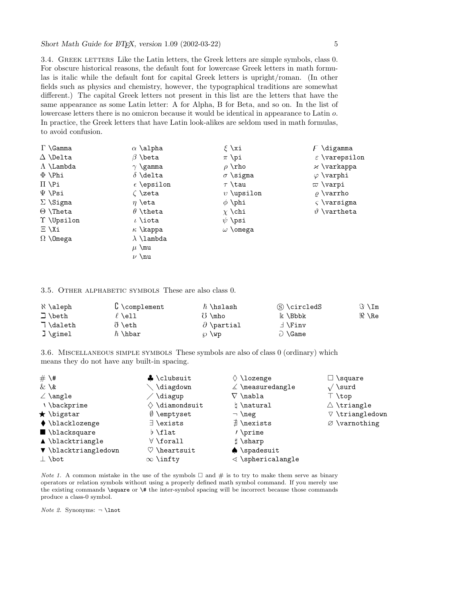## Short Math Guide for  $\cancel{B}$ T<sub>E</sub>X, version 1.09 (2002-03-22) 5

3.4. Greek letters Like the Latin letters, the Greek letters are simple symbols, class 0. For obscure historical reasons, the default font for lowercase Greek letters in math formulas is italic while the default font for capital Greek letters is upright/roman. (In other fields such as physics and chemistry, however, the typographical traditions are somewhat different.) The capital Greek letters not present in this list are the letters that have the same appearance as some Latin letter: A for Alpha, B for Beta, and so on. In the list of lowercase letters there is no omicron because it would be identical in appearance to Latin o. In practice, the Greek letters that have Latin look-alikes are seldom used in math formulas, to avoid confusion.

| $\alpha$ \alpha        | $\xi$ \xi          | $\overline{F}$ \digamma   |
|------------------------|--------------------|---------------------------|
| $\beta$ \beta          | $\pi$ \pi          | $\varepsilon$ \varepsilon |
| $\gamma \lambda$ gamma | $\rho \rightarrow$ | $\nu$ \varkappa           |
| $\delta$ \delta        | $\sigma$ \sigma    | $\varphi$ \varphi         |
| $\epsilon$ \epsilon    | $\tau$ \tau        | $\varpi$ \varpi           |
| $\zeta$ \zeta          | $v \rightarrow v$  | $\rho$ \varrho            |
| $\eta$ \eta            | $\phi$ \phi        | $\zeta$ \varsigma         |
| $\theta$ \theta        | $\chi$ \chi        | $\vartheta$ \vartheta     |
| $\iota$ \iota          | $\psi$ \psi        |                           |
| $\kappa$ \kappa        | $\omega$ \omega    |                           |
| $\lambda$ \lambda      |                    |                           |
| $\mu$ \mu              |                    |                           |
| $\nu \nu$              |                    |                           |
|                        |                    |                           |

3.5. Other alphabetic symbols These are also class 0.

| N \aleph         | $\mathcal{L} \setminus \mathsf{complement}$ | $\hbar$ \hslash     | S \circledS     | $\Im \Im \mathbb{I}$ |
|------------------|---------------------------------------------|---------------------|-----------------|----------------------|
| $\Box \phi$      | $\ell$ \ell                                 | $\delta$ \mho       | $\Bbbk$ \Bbbk   | $\Re$ \Re            |
| 7 \daleth        | ð \eth                                      | $\partial$ \partial | $\exists$ \Finv |                      |
| $\exists$ \gimel | $\hbar$ \hbar                               | $\wp$ ∖wp           | $\supset$ \Game |                      |

3.6. Miscellaneous simple symbols These symbols are also of class 0 (ordinary) which means they do not have any built-in spacing.

| $# \nightharpoonup$ #                   | $\bullet$ \clubsuit     | $\Diamond$ \lozenge             | \square<br>⊔              |
|-----------------------------------------|-------------------------|---------------------------------|---------------------------|
| $\&\setminus\&$                         | \diagdown               | $\angle$ \measuredangle         | $\sqrt{\sqrt{3}}$         |
| $\angle$ \angle                         | \diagup                 | $\nabla \$ \nabla               | $\top$ \top               |
| \\backprime                             | $\Diamond$ \diamondsuit | h \natural                      | $\triangle$ \triangle     |
| $\star$ \bigstar                        | $\emptyset$ \emptyset   | $\neg$ \neg                     | $\nabla$ \triangledown    |
| $\blacklozenge$                         | $\exists$ \exists       | $\exists$ \nexists              | $\varnothing$ \varnothing |
| $\blacksquare$ \blacksquare             | $\flat$ \flat           | $\prime$ \prime                 |                           |
| $\triangle$ \blacktriangle              | $\forall$ \forall       | $\sharp$ \sharp                 |                           |
| $\blacktriangledown$ \blacktriangledown | $\heartsuit$ \heartsuit | $\bullet$ \spadesuit            |                           |
| $\perp$ \bot                            | $\infty$ \infty         | $\triangleleft$ \sphericalangle |                           |

*Note 1.* A common mistake in the use of the symbols  $\Box$  and  $\#$  is to try to make them serve as binary operators or relation symbols without using a properly defined math symbol command. If you merely use the existing commands \square or \# the inter-symbol spacing will be incorrect because those commands produce a class-0 symbol.

Note 2. Synonyms:  $\neg \ln o t$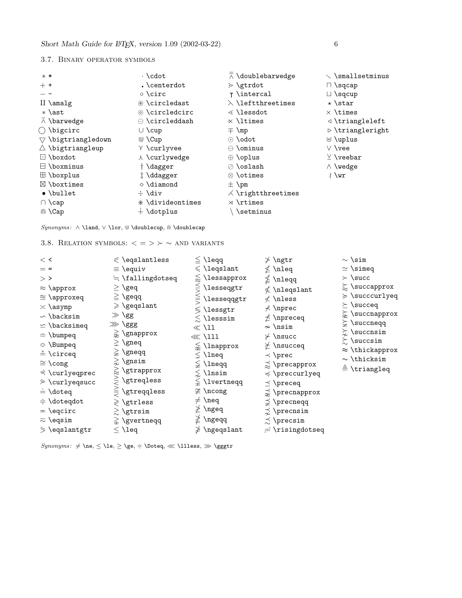# 3.7. Binary operator symbols

| $* *$                            | $\cdot \cdot$ cdot   | $\overline{\wedge}$ \doublebarwedge | $\backslash$ \smallsetminus     |
|----------------------------------|----------------------|-------------------------------------|---------------------------------|
| $+ +$                            | $.\$                 | $\geq$ \gtrdot                      | $\Box \$ sqcap                  |
|                                  | $\circ$ \circ        | $\tau$ \intercal                    | $\Box \$ sqcup                  |
| $II \ \mathrm{lamalg}$           | * \circledast        | $\lambda$ \leftthreetimes           | $\star$ \star                   |
| $*\$ ast                         | ◎ \circledcirc       | $\leq$ \lessdot                     | $\times$ \times                 |
| $\overline{\wedge}$ \barwedge    | $\odot$ \circleddash | $\ltimes$ \ltimes                   | $\triangleleft$ \triangleleft   |
| $\bigcirc$ \bigcirc              | $\cup \cup$          | $\mp \mp$                           | $\triangleright$ \triangleright |
| $\triangledown$ \bigtriangledown | $\mathbb U$ \Cup     | $\odot$ \odot                       | $\uplus \{uplus\}$              |
| $\triangle$ \bigtriangleup       | $\gamma$ \curlyvee   | $\ominus$ \ominus                   | $\vee$ \vee                     |
| $\Box$ \boxdot                   | <b>人 \curlywedge</b> | $\oplus \text{ \textdegree}$        | $\vee$ \veebar                  |
| $\Box$ \boxminus                 | † \dagger            | $\oslash$ \oslash                   | $\wedge \vee$ wedge             |
| $\boxplus \boxtimes$             | #\ddagger            | $\otimes$ \otimes                   | $\wedge \forall x$              |
| $\boxtimes$ \boxtimes            | $\diamond$ \diamond  | $\pm$ \pm                           |                                 |
| $\bullet$ \bullet                | $\div$ \div          | $\angle$ \rightthreetimes           |                                 |
| $\cap \setminus \text{cap}$      | $*$ \divideontimes   | $\times$ \rtimes                    |                                 |
| ⋒ \Cap                           | $+$ \dotplus         | \setminus                           |                                 |

 $\emph{Symonyms: }\wedge\text{Val} \vee \text{Qublecup}, \text{\'al} \wedge \text{Qublecup} \wedge \text{Qublecup} \wedge \text{Qublecup} \wedge \text{Qublecup} \wedge \text{Qublecup} \wedge \text{Qublecup} \wedge \text{Qublecup} \wedge \text{Qublecup} \wedge \text{Qublecup} \wedge \text{Qublecup} \wedge \text{Qublecup} \wedge \text{Qublecup} \wedge \text{Qublecup} \wedge \text{Qublecup} \wedge \text{Qublecup} \wedge \text{Qublecup} \wedge \text{Qublecup}$ 

# 3.8. RELATION SYMBOLS:  $\langle = \rangle$   $\succ$  and variants

| $\lt$ <                                                    | $\leq$ \eqslantless                         | $\leq \text{leq}$                                             | $\frac{1}{x} \rightarrow$                       | $\sim$ \sim                                             |
|------------------------------------------------------------|---------------------------------------------|---------------------------------------------------------------|-------------------------------------------------|---------------------------------------------------------|
| $=$ =                                                      | $\equiv \text{V}$ equiv                     | $\leqslant$ \leqslant                                         | $\nleq$ \nleq                                   | $\simeq$ \simeq                                         |
| $>$ >                                                      | $=$ \fallingdotseq                          | $\lessapprox$ \lessapprox                                     | $\n  \not\leq \n  \land$                        | $\succ$ \succ                                           |
| $\approx \text{approx}$<br>$\approx$ \approxeq             | $\geq \geq$<br>$\geq$ \geqq                 | $\le$<br>\lesseqgtr<br>$\left(\frac{1}{2}\right)$ \lesseqqgtr | $\not\leq$ \nleqslant<br>$\not<$ \nless         | $\gtrapprox$ \succapprox<br>$\succcurlyeq$ \succcurlyeq |
| $\asymp$ \asymp<br>$\backsim$ \backsim                     | $\geqslant$ \geqslant<br>$\gg$ \gg          | $\leq$ \lessgtr<br>$\lesssim$ \lesssim                        | $\not\prec$ \nprec<br>$\measuredangle$ \npreceq | $\succeq$ \succeq<br>$\gtrapprox$ \succnapprox          |
| $\leq$ \backsimeq<br>$\hat{ }$ \bumpeq                     | $\gg$ \ggg<br>$\gtrapprox$ \gnapprox        | $\ll$ \11<br>$\ll 111$                                        | $\sim$ \nsim<br>$\nsucc$ \nsucc                 | ≩ \succneqq<br>$\gtrsim$ \succnsim                      |
| ≎ \Bumpeq                                                  | \gneq<br>$\geq$<br>$\geq$ \gneqq            | $\leqslant$ \lnapprox                                         | $\not\perp$ \nsucceq                            | $\succsim$ \succsim<br>$\approx$ \thickapprox           |
| $\stackrel{\circ}{=}\text{/circeq}$<br>$\cong \text{long}$ | $\gtrsim$ \gnsim<br>$\gtrapprox$ \gtrapprox | $\leq$ \lneq<br>$\lneq$ \lneqq                                | $\prec$ \prec<br>$\gtrapprox$ \precapprox       | $\sim$ \thicksim<br>$\triangleq$ \triangleq             |
| $\prec$ \curlyeqprec<br>$\geq$ \curlyeqsucc                | $\geqq$<br>\gtreqless                       | $\lesssim$ \lnsim<br>$\leq$ \lvertneqq                        | $\preccurlyeq$<br>$\preceq$ \preceq             |                                                         |
| $\dot{=}$ \doteq                                           | $\geqq$<br>\gtreqqless                      | $\ncong \neq$                                                 | $\approx$ \precnapprox                          |                                                         |
| $\div$ \doteqdot                                           | $\geqslant$ \gtrless                        | $\neq$ \neq                                                   | $\precneq$ \precneqq                            |                                                         |
| $= \sqrt{eqcirc}$                                          | $\gtrsim$ \gtrsim                           | $\ngeq$ \ngeq                                                 | $\lesssim$ \precnsim                            |                                                         |
| $\overline{\sim}$ \eqsim                                   | $\geq$ \gvertneqq                           | $\ngeq$ \ngeqq                                                | $\precsim$ \precsim                             |                                                         |
| $\geq$ \eqslantgtr                                         | $\leq \leq$                                 | $\ngeq$ \ngeqslant                                            | $=$ \risingdotseq                               |                                                         |

Synonyms: 6= \ne, ≤ \le, ≥ \ge, + \Doteq, ≪ \llless, ≫ \gggtr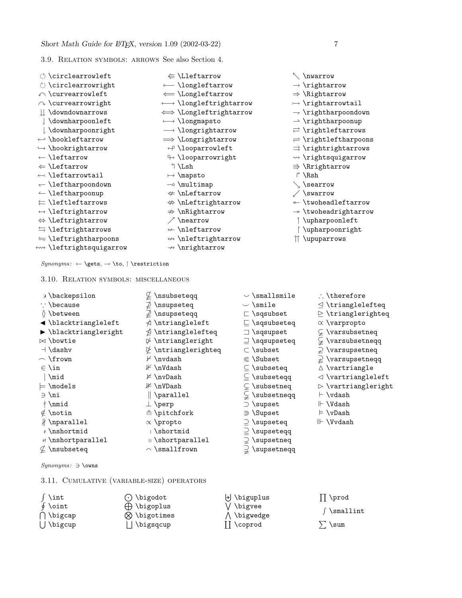| Short Math Guide for $BTEX$ , version 1.09 (2002-03-22) |  |
|---------------------------------------------------------|--|
|---------------------------------------------------------|--|

3.9. Relation symbols: arrows See also Section 4.

| ◯ \circlearrowleft                  | $\in$ \Lleftarrow                       | $\setminus$ \nwarrow                |
|-------------------------------------|-----------------------------------------|-------------------------------------|
| ○ \circlearrowright                 | ← \longleftarrow                        | $\rightarrow$ \rightarrow           |
| $\cap$ \curvearrowleft              | $\leftarrow \text{Longleftarrow}$       | $\Rightarrow$ \Rightarrow           |
| $\curvearrowright$ \curvearrowright | $\longleftrightarrow \text{longleft}$   | $\rightarrow$ \rightarrowtail       |
| U \downdownarrows                   | $\iff$ \Longleftrightarrow              | $\rightarrow$ \rightharpoondown     |
| downharpoonleft                     | $\longmapsto$ \longmapsto               | $\rightarrow$ \rightharpoonup       |
| Adownharpoonright                   | $\longrightarrow \text{longrightarrow}$ | $\rightleftarrows$ \rightleftarrows |
| $\leftrightarrow$ \hookleftarrow    | $\implies$ \Longrightarrow              | $\Rightarrow$ \rightleftharpoons    |
| $\hookrightarrow$ \hookrightarrow   | $\leftrightarrow$ \looparrowleft        | $\Rightarrow$ \rightrightarrows     |
| $\leftarrow$ \leftarrow             | $\leftrightarrow$ \looparrowright       | $\rightsquigarrow$ \rightsquigarrow |
| $\Leftarrow$ \Leftarrow             | ↑ \Lsh                                  | $\Rightarrow$ \Rrightarrow          |
| $\leftrightarrow$ \leftarrowtail    | $\mapsto$ \mapsto                       | $\uparrow$ \Rsh                     |
| $\leftarrow$ \leftharpoondown       | $\sim$ \multimap                        | $\setminus$ \searrow                |
| $\leftarrow$ \leftharpoonup         | $\#$ \nLeftarrow                        | $\diagup$ \swarrow                  |
| $\leftarrows$ \leftleftarrows       | $\Leftrightarrow$ \nLeftrightarrow      | $\leftarrow$ \twoheadleftarrow      |
| $\leftrightarrow$ \leftrightarrow   | $\Rightarrow$ \nRightarrow              | $\rightarrow$ \twoheadrightarrow    |
| $\Leftrightarrow$ \Leftrightarrow   | $\nearrow$ \nearrow                     | \upharpoonleft                      |
| $\leftrightarrows$ \leftrightarrows | $\leftarrow \text{hleftarrow}$          | \upharpoonright                     |
| $\Rightarrow$ \leftrightharpoons    | $\leftrightarrow$ \nleftrightarrow      | ↑↑ \upuparrows                      |
| « \leftrightsquigarrow              | $\rightarrow$ \nrightarrow              |                                     |

 $\label{eq:subspace} \emph{Symonyms:} \leftarrow \verb|\gets, \rightarrow \verb|\to|, \verb|| \texttt{ition}|$ 

3.10. Relation symbols: miscellaneous

| <b>Exercise</b> > \backepsilon            | \nsubseteqq                               | $\backsim$ \smallsmile       | $\therefore$ \therefore            |
|-------------------------------------------|-------------------------------------------|------------------------------|------------------------------------|
| $\therefore$ \because                     | ⊉<br>\nsupseteq                           | $\backsim$ \smile            | $\trianglelefteq$ \trianglelefteq  |
| ≬\between                                 | ⊉<br>\nsupseteqq                          | $\Gamma$ \sqsubset           | $\triangleright$ \trianglerighteq  |
| $\blacktriangleleft$ \blacktriangleleft   | $\triangle$ \ntriangleleft                | $\subseteq$ \sqsubseteq      | $\alpha$ \varpropto                |
| $\blacktriangleright$ \blacktriangleright | $\triangle$ \ntrianglelefteq              | $\Box$ \sqsupset             | $\subsetneq$ \varsubsetneq         |
| $\bowtie$ \bowtie                         | $\psi$ \ntriangleright                    | $\supseteq$ \sqsupseteq      | $\subsetneq$ \varsubsetneqq        |
| $\exists$ \dashv                          | $\not\!\!\!\n\,\forall$ \ntrianglerighteq | $\subset \mathcal{S}$ subset | $\supseteq$ \varsupsetneq          |
| $\frown$ \frown                           | $\nvdash$ \nvdash                         | $\in \S$ ubset               | $\supsetneq$ \varsupsetneqq        |
| $\in \{ \text{in} \}$                     | $\n  W$                                   | $\subset$ \subseteq          | $\triangle$ \vartriangle           |
| $\mid$                                    | $\nvdash$ \nvDash                         | $\subseteq$ \subseteqq       | $\lhd$ \vartriangleleft            |
| $\models$ \models                         | $\n  \mathbb{F} \n  \mathbb{N}$           | $\subset$ \subsetneq         | $\triangleright$ \vartriangleright |
| ∋ \ni                                     | $\parallel$ \parallel                     | $\subsetneq$ \subsetneqq     | $\vdash \forall$ vdash             |
| $\land$ \nmid                             | $\perp$ \perp                             | $\supset$ \supset            | ⊩ \Vdash                           |
| $\notin$ \notin                           | ⋔ \pitchfork                              | ∋ \Supset                    | $\models \forall$ Dash             |
| $\nparallel$ \nparallel                   | $\propto$ \propto                         | $\supseteq$ \supseteq        | ⊪ \Vvdash                          |
| $\land$ \nshortmid                        | $\land$ shortmid                          | $\geq$ \supseteqq            |                                    |
| $H \in \mathbb{Z}$                        | $\parallel$ \shortparallel                | $\supseteq$ \supsetneq       |                                    |
| $\not\subseteq$ \nsubseteq                | $\land$ \smallfrown                       | $\frac{1}{2}$ \supsetneqq    |                                    |
| $Synonyms: \exists$ \owns                 |                                           |                              |                                    |

3.11. Cumulative (variable-size) operators

| $\int$ int<br>$\oint$ \oint | $(\cdot)$ \bigodot<br>⊕ \bigoplus | $\forall$ \biguplus<br>∨ \bigvee | $  $ \prod |
|-----------------------------|-----------------------------------|----------------------------------|------------|
| ∩\bigcap                    | $\otimes$ \bigotimes              | ∧ \bigwedge                      | ∫∖smallint |
| U \bigcup                   | \bigsqcup                         | $\left[\right]$ \coprod          | $\sum$     |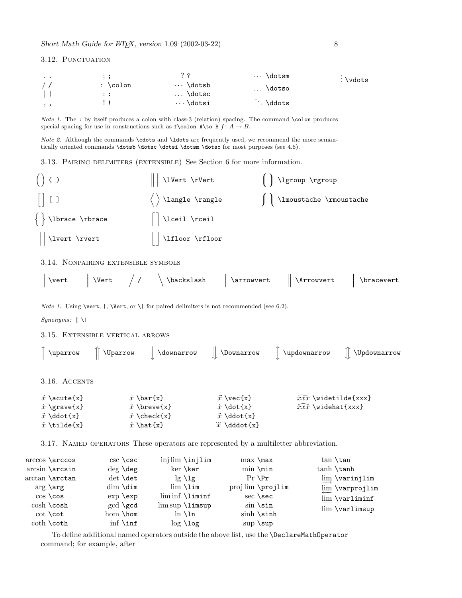Short Math Guide for  $\cancel{B}$ T<sub>E</sub>X, version 1.09 (2002-03-22) 8

# 3.12. PUNCTUATION

| $\cdots$    | $\cdot$ .<br>$, \, \,$ | ? ?             | $\cdots$ \dotsm | :\vdots |
|-------------|------------------------|-----------------|-----------------|---------|
|             | : $\colon \mathcal{L}$ | $\cdots$ \dotsb | $\ldots$ \dotso |         |
|             | $\mathbb{R}^2$         | $\ldots$ \dotsc |                 |         |
| $, \, , \,$ |                        | $\cdots$ \dotsi | $\cdot$ \ddots  |         |

Note 1. The : by itself produces a colon with class-3 (relation) spacing. The command \colon produces special spacing for use in constructions such as  $f\cdot \text{A} \to B$ .

Note 2. Although the commands \cdots and \ldots are frequently used, we recommend the more semantically oriented commands \dotsb \dotsc \dotsi \dotsm \dotso for most purposes (see 4.6).

3.13. Pairing delimiters (extensible) See Section 6 for more information.

| ( )                                 |                                          | \lVert \rVert                                                                                         |                                    | \lgroup \rgroup                                                                       |           |
|-------------------------------------|------------------------------------------|-------------------------------------------------------------------------------------------------------|------------------------------------|---------------------------------------------------------------------------------------|-----------|
| $\lceil$ $\rceil$                   |                                          | $\langle$ $\rangle$ \langle \rangle                                                                   |                                    | \lmoustache \rmoustache                                                               |           |
| $\{ \text{thrace } \text{trbrace}$  |                                          | \lceil \rceil                                                                                         |                                    |                                                                                       |           |
| $\vert$ \lvert \rvert               |                                          | \lfloor \rfloor                                                                                       |                                    |                                                                                       |           |
| 3.14. NONPAIRING EXTENSIBLE SYMBOLS |                                          |                                                                                                       |                                    |                                                                                       |           |
|                                     |                                          |                                                                                                       |                                    | $\vert \$ \vert    \Vert / / \ \backslash   \arrowvert    \Arrowvert                  | bracevert |
|                                     |                                          | <i>Note 1.</i> Using \vert, $\vert$ , \vert, or \ for paired delimiters is not recommended (see 6.2). |                                    |                                                                                       |           |
| $Symonyms: \ \ \$                   |                                          |                                                                                                       |                                    |                                                                                       |           |
| 3.15. EXTENSIBLE VERTICAL ARROWS    |                                          |                                                                                                       |                                    |                                                                                       |           |
|                                     |                                          |                                                                                                       |                                    | │ \uparrow │   \Uparrow │ \downarrow │   \Downarrow │   \updownarrow │   \Updownarrow |           |
| 3.16. ACCENTS                       |                                          |                                                                                                       |                                    |                                                                                       |           |
| $\acute{x}$ \acute{x}               | $\bar{x}$ \bar{x}                        |                                                                                                       | $\vec{x} \ \text{vec}\{x\}$        | $\widetilde{xxx}$ \widetilde{xxx}                                                     |           |
| $\hat{x}$ \grave{x}                 |                                          | $\breve{x}$ \breve{x}                                                                                 | $\dot{x} \dot{\text{dot}}\text{x}$ | $\widehat{xxx}$ \widehat{xxx}                                                         |           |
| $\ddot{x} \cdot \ddot{x}$           | $\check{x} \backslash \text{check}\{x\}$ |                                                                                                       | $\ddot{x} \text{ddot} \{x\}$       |                                                                                       |           |
| $\tilde{x}$ \tilde{x}               | $\hat{x}$ \hat{x}                        |                                                                                                       | $\dddot{x} \ddot{x}$               |                                                                                       |           |
|                                     |                                          |                                                                                                       |                                    | 3.17. NAMED OPERATORS These operators are represented by a multiletter abbreviation.  |           |
| arccos \arccos                      | $\csc \csc$                              | injlim \injlim                                                                                        | $max \$                            | tan \tan                                                                              |           |

| arccos \arccos          | $\csc \csc$           | $\ln$ l $\ln$ \injlim | $max \max$       | tan \tan                     |
|-------------------------|-----------------------|-----------------------|------------------|------------------------------|
| $arcsin \arcsin$        | $\deg \text{deg}$     | $ker \ \ker$          | $min \ \min$     | tanh \tanh                   |
| arctan <b>\arctan</b>   | $det$ $\det$          | $\lg \lg$             | $Pr \n\Pr$       | $\varinjlim$ \varinjlim      |
| $arg \arg$              | $dim \ \dim$          | $\lim \setminus \lim$ | projlim \projlim | lim \varprojlim              |
| $\cos \cos$             | $exp \exp$            | $\liminf$ $\liminf$   | $sec$ \sec       | $\lim$ \varliminf            |
| $\cosh \cosh$           | $gcd \ \text{gcd}$    | $\limsup$ $\limsup$   | $\sin \sin$      | $\overline{\lim}$ \varlimsup |
| $\cot \setminus \cot$   | hom \hom              | $\ln \ln$             | $\sinh \sinh$    |                              |
| $\coth \setminus \coth$ | $\inf \setminus \inf$ | $log \log$            | $sup$ \sup       |                              |
|                         |                       |                       |                  |                              |

To define additional named operators outside the above list, use the \DeclareMathOperator command; for example, after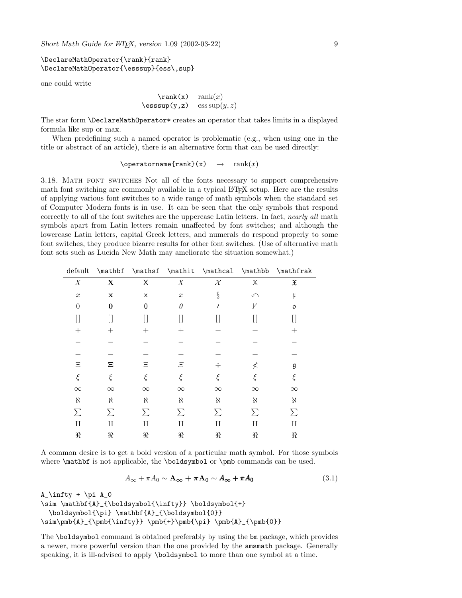# \DeclareMathOperator{\rank}{rank} \DeclareMathOperator{\esssup}{ess\,sup}

one could write

$$
\mathsf{rank}(x) \quad \text{rank}(x)
$$
  
lesssup(y,z) 
$$
\text{ess} \exp(y,z)
$$

The star form \DeclareMathOperator\* creates an operator that takes limits in a displayed formula like sup or max.

When predefining such a named operator is problematic (e.g., when using one in the title or abstract of an article), there is an alternative form that can be used directly:

 $\operatorname{rank}(x) \rightarrow \operatorname{rank}(x)$ 

3.18. Math font switches Not all of the fonts necessary to support comprehensive math font switching are commonly available in a typical LATEX setup. Here are the results of applying various font switches to a wide range of math symbols when the standard set of Computer Modern fonts is in use. It can be seen that the only symbols that respond correctly to all of the font switches are the uppercase Latin letters. In fact, nearly all math symbols apart from Latin letters remain unaffected by font switches; and although the lowercase Latin letters, capital Greek letters, and numerals do respond properly to some font switches, they produce bizarre results for other font switches. (Use of alternative math font sets such as Lucida New Math may ameliorate the situation somewhat.)

| default          | \mathbf     | \mathsf  | \mathit          | \mathcal      | \mathbb           | \mathfrak     |
|------------------|-------------|----------|------------------|---------------|-------------------|---------------|
| $\boldsymbol{X}$ | $\mathbf X$ | X        | X                | $\mathcal{X}$ | $\mathbb X$       | $\mathfrak X$ |
| $\boldsymbol{x}$ | $\mathbf x$ | X        | $\boldsymbol{x}$ | $\S$          | $\curvearrowleft$ | $\mathfrak x$ |
| $\theta$         | $\bf{0}$    | 0        | $\theta$         |               | ⊬                 | $\circ$       |
|                  |             |          |                  |               | $\lceil \rceil$   |               |
| $^{+}$           | $^{+}$      | $^{+}$   | $^{+}$           | $+$           | $^{+}$            | $^{+}$        |
|                  |             |          |                  |               |                   |               |
|                  |             |          |                  |               |                   |               |
| Ξ                | Ξ           | Ξ        | Ξ                | ÷             | ≮                 | g             |
| $\xi$            | $\xi$       | ξ        | $\xi$            | $\xi$         | ξ                 | $\xi$         |
| $\infty$         | $\infty$    | $\infty$ | $\infty$         | $\infty$      | $\infty$          | $\infty$      |
| K                | K           | X        | K                | X             | X                 | X             |
| $\sum$           | $\sum$      | $\sum$   | Σ                | Σ             | $\sum$            | $\sum$        |
| П                | П           | П        | П                | П             | П                 | П             |
| $\Re$            | $\Re$       | R        | R                | $\Re$         | $\Re$             | $\Re$         |

A common desire is to get a bold version of a particular math symbol. For those symbols where **\mathbf** is not applicable, the **\boldsymbol** or **\pmb** commands can be used.

$$
A_{\infty} + \pi A_0 \sim \mathbf{A}_{\infty} + \pi \mathbf{A}_0 \sim A_{\infty} + \pi A_0 \tag{3.1}
$$

 $A_\infty + \pi A_0$ 

\sim \mathbf{A}\_{\boldsymbol{\infty}} \boldsymbol{+}

\boldsymbol{\pi} \mathbf{A}\_{\boldsymbol{0}}

\sim\pmb{A}\_{\pmb{\infty}} \pmb{+}\pmb{\pi} \pmb{A}\_{\pmb{0}}

The \boldsymbol command is obtained preferably by using the bm package, which provides a newer, more powerful version than the one provided by the amsmath package. Generally speaking, it is ill-advised to apply \boldsymbol to more than one symbol at a time.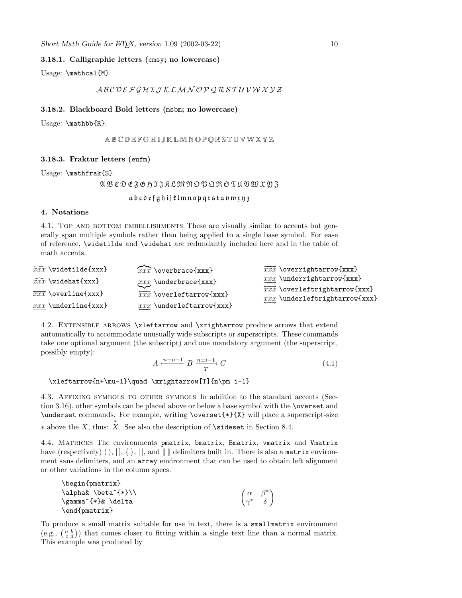Short Math Guide for  $\cancel{ETPX}$ , version 1.09 (2002-03-22) 10

# 3.18.1. Calligraphic letters (cmsy; no lowercase)

Usage: \mathcal{M}.

# A B C D E F G H I J K L M N O P Q R S T U V W X Y Z

#### 3.18.2. Blackboard Bold letters (msbm; no lowercase)

Usage: \mathbb{R}.

#### A B C D E F G H I J K L M N O P Q R S T U V W X Y Z

### 3.18.3. Fraktur letters (eufm)

Usage: \mathfrak{S}.

A B C D E F G H I J K LM N O P Q R S T U VW X Y Z

a b c d e f g h i j  $\ell$  l m n o p q r s t u v w y n z

# 4. Notations

4.1. TOP AND BOTTOM EMBELLISHMENTS These are visually similar to accents but generally span multiple symbols rather than being applied to a single base symbol. For ease of reference, \widetilde and \widehat are redundantly included here and in the table of math accents.

| $\widetilde{xxx}$ \widetilde{xxx} | $\widehat{xxx}$ \overbrace{xxx}           | $\overrightarrow{xxx}$ \overrightarrow{xxx}                                             |
|-----------------------------------|-------------------------------------------|-----------------------------------------------------------------------------------------|
| $\widehat{xxx}$ \widehat{xxx}     | $xxx$ \underbrace{xxx}                    | $xxx$ \underrightarrow{xxx}                                                             |
| $\overline{xxx}$ \overline{xxx}   | $\overleftarrow{xxx}$ \overleftarrow{xxx} | $\overleftrightarrow{xxx}$ \overleftrightarrow{xxx}<br>$xxx \text{underleftrightarrow}$ |
| $xxx$ \underline{xxx}             | $xxx \underline{\text{vxx}}$              |                                                                                         |

4.2. Extensible arrows \xleftarrow and \xrightarrow produce arrows that extend automatically to accommodate unusually wide subscripts or superscripts. These commands take one optional argument (the subscript) and one mandatory argument (the superscript, possibly empty):

$$
A \xleftarrow{\textit{n}+\mu-1} B \xrightarrow{\textit{n}\pm i-1} C \tag{4.1}
$$

\xleftarrow{n+\mu-1}\quad \xrightarrow[T]{n\pm i-1}

4.3. Affixing symbols to other symbols In addition to the standard accents (Section 3.16), other symbols can be placed above or below a base symbol with the \overset and \underset commands. For example, writing \overset{\*}{X} will place a superscript-size \* above the X, thus:  $\stackrel{*}{X}$ . See also the description of **\sideset** in Section 8.4.

4.4. Matrices The environments pmatrix, bmatrix, Bmatrix, vmatrix and Vmatrix have (respectively) ( ),  $[ \cdot, \{ \} , \cdot ]$ , and  $\| \$  delimiters built in. There is also a matrix environment sans delimiters, and an array environment that can be used to obtain left alignment or other variations in the column specs.

| \begin{pmatrix}     |                                                                       |  |
|---------------------|-----------------------------------------------------------------------|--|
| \alpha& \beta^{*}\\ |                                                                       |  |
| \gamma^{*}& \delta  | $\begin{pmatrix} \alpha & \beta^* \\ \gamma^* & \delta \end{pmatrix}$ |  |
| \end{pmatrix}       |                                                                       |  |

To produce a small matrix suitable for use in text, there is a smallmatrix environment (e.g.,  $\begin{pmatrix} a & b \\ c & d \end{pmatrix}$ ) that comes closer to fitting within a single text line than a normal matrix. This example was produced by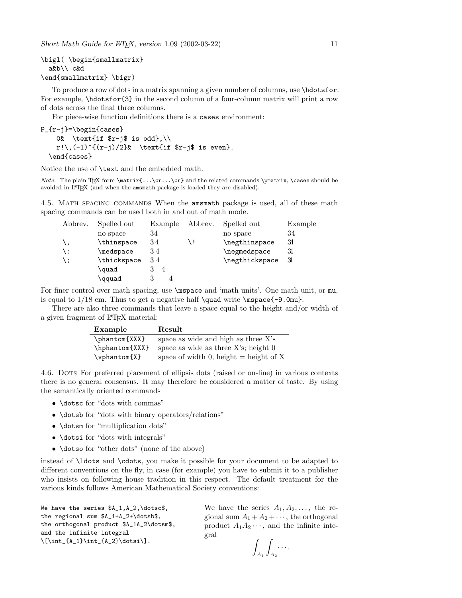```
\bigl( \begin{smallmatrix}
  a&b\\ c&d
\end{smallmatrix} \bigr)
```
To produce a row of dots in a matrix spanning a given number of columns, use \hdotsfor. For example, \hdotsfor{3} in the second column of a four-column matrix will print a row of dots across the final three columns.

For piece-wise function definitions there is a cases environment:

```
P_{r-j}=\begin{cases}
    0& \text{if r-j$ is odd},\\
    r!\lambda, (-1)^{(r-j)/2}\ \text{if $r-j$ is even}.
  \end{cases}
```
Notice the use of \text and the embedded math.

Note. The plain TEX form  $\mathtt{...\cr.\.\cr}$  and the related commands  $\mathrm{z.\.}\cases$  should be avoided in LATEX (and when the amsmath package is loaded they are disabled).

4.5. Math spacing commands When the amsmath package is used, all of these math spacing commands can be used both in and out of math mode.

| Abbrev. | Spelled out | Example | Abbrev. | Spelled out    | Example |
|---------|-------------|---------|---------|----------------|---------|
|         | no space    | 34      |         | no space       | 34      |
|         | \thinspace  | 34      |         | \negthinspace  | 34      |
| \ :     | \medspace   | 34      |         | \negmedspace   | 34      |
| \ ;     | \thickspace | 34      |         | \negthickspace | 31      |
|         | \quad       |         |         |                |         |
|         | \qquad      |         |         |                |         |

For finer control over math spacing, use \mspace and 'math units'. One math unit, or mu, is equal to  $1/18$  em. Thus to get a negative half  $\quad$ quad write  $\$ space{-9.0mu}.

There are also three commands that leave a space equal to the height and/or width of a given fragment of LATEX material:

| Example               | Result                                   |
|-----------------------|------------------------------------------|
| \phantom{XXX}         | space as wide and high as three X's      |
| \hphantom{XXX}        | space as wide as three $X$ 's; height 0  |
| $\verb \vphantom{X} $ | space of width 0, height $=$ height of X |

4.6. Dots For preferred placement of ellipsis dots (raised or on-line) in various contexts there is no general consensus. It may therefore be considered a matter of taste. By using the semantically oriented commands

- \dotsc for "dots with commas"
- \dotsb for "dots with binary operators/relations"
- \dotsm for "multiplication dots"
- \dotsi for "dots with integrals"
- \dotso for "other dots" (none of the above)

instead of \ldots and \cdots, you make it possible for your document to be adapted to different conventions on the fly, in case (for example) you have to submit it to a publisher who insists on following house tradition in this respect. The default treatment for the various kinds follows American Mathematical Society conventions:

We have the series  $A_1, A_2, \dots,$ the regional sum \$A\_1+A\_2+\dotsb\$, the orthogonal product \$A\_1A\_2\dotsm\$, and the infinite integral  $\[\int_{A_1}\int_{A_2}\dot{\delta}\].$ 

We have the series  $A_1, A_2, \ldots$ , the regional sum  $A_1 + A_2 + \cdots$ , the orthogonal product  $A_1A_2\cdots$ , and the infinite integral

Z  $A_1$ Z  $A_2$ · · · .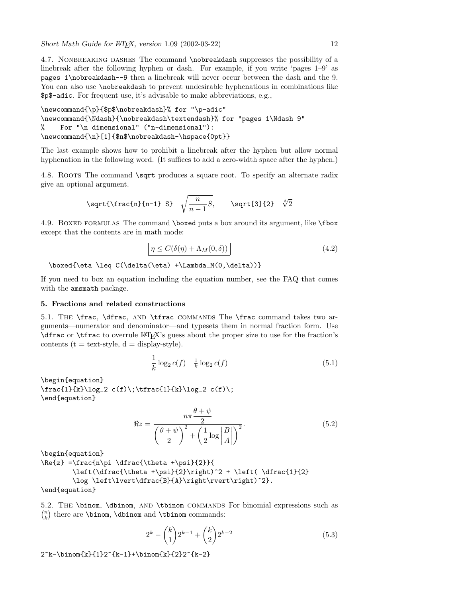4.7. NONBREAKING DASHES The command \nobreakdash suppresses the possibility of a linebreak after the following hyphen or dash. For example, if you write 'pages 1–9' as pages 1\nobreakdash--9 then a linebreak will never occur between the dash and the 9. You can also use **\nobreakdash** to prevent undesirable hyphenations in combinations like \$p\$-adic. For frequent use, it's advisable to make abbreviations, e.g.,

```
\newcommand{\p}{$p$\nobreakdash}% for "\p-adic"
\newcommand{\Ndash}{\nobreakdash\textendash}% for "pages 1\Ndash 9"
% For "\n dimensional" ("n-dimensional"):
\newcommand{\n}[1]{$n$\nobreakdash-\hspace{0pt}}
```
The last example shows how to prohibit a linebreak after the hyphen but allow normal hyphenation in the following word. (It suffices to add a zero-width space after the hyphen.)

4.8. Roots The command \sqrt produces a square root. To specify an alternate radix give an optional argument.

\sqrt{\frac{n}{n-1} S} <sup>r</sup> <sup>n</sup> n − 1 S, \sqrt[3]{2} <sup>√</sup><sup>3</sup> 2

4.9. Boxed formulas The command \boxed puts a box around its argument, like \fbox except that the contents are in math mode:

$$
\boxed{\eta \le C(\delta(\eta) + \Lambda_M(0,\delta))}
$$
\n(4.2)

\boxed{\eta \leq C(\delta(\eta) +\Lambda\_M(0,\delta))}

If you need to box an equation including the equation number, see the FAQ that comes with the amsmath package.

#### 5. Fractions and related constructions

5.1. The \frac, \dfrac, and \tfrac commands The \frac command takes two arguments—numerator and denominator—and typesets them in normal fraction form. Use \dfrac or \tfrac to overrule LATEX's guess about the proper size to use for the fraction's contents ( $t = \text{text-style}, d = \text{display-style}.$ ).

$$
\frac{1}{k}\log_2 c(f) \quad \frac{1}{k}\log_2 c(f) \tag{5.1}
$$

\begin{equation} \frac{1}{k}\log\_2 c(f)\;\tfrac{1}{k}\log\_2 c(f)\; \end{equation}

$$
\Re z = \frac{n\pi \frac{\theta + \psi}{2}}{\left(\frac{\theta + \psi}{2}\right)^2 + \left(\frac{1}{2}\log\left|\frac{B}{A}\right|\right)^2}.
$$
\n(5.2)

\begin{equation}

 $\Re{z} = \frac{\n\pi \dfrac{\theta + \psi}{2}}{$ 

```
\left(\dfrac{\theta + \psi}{2}\right)^2 + \left(\dfrac{1}{2}\right)\log \left\lvert\dfrac{B}{A}\right\rvert\right)^2}.
\end{equation}
```
5.2. THE \binom, \dbinom, AND \tbinom COMMANDS For binomial expressions such as  $\binom{n}{k}$  there are **\binom**, **\dbinom** and **\tbinom** commands:

$$
2^{k} - {k \choose 1} 2^{k-1} + {k \choose 2} 2^{k-2}
$$
\n(5.3)

 $2^k-\binom{k}{1}2^k-k-1+\binom{k}{2}2^k-k-2$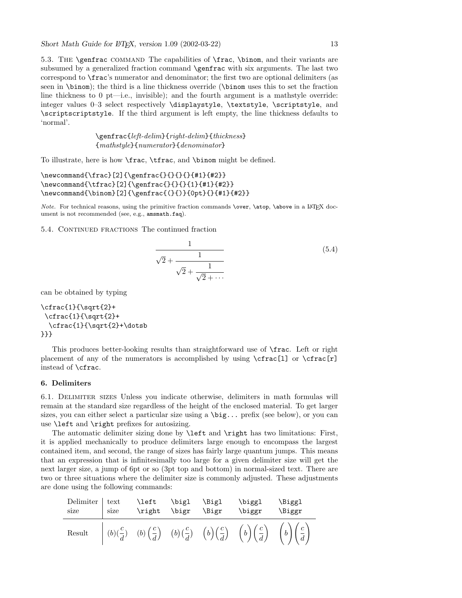Short Math Guide for  $\cancel{B}$ F<sub>F</sub>X, version 1.09 (2002-03-22) 13

5.3. The \genfrac command The capabilities of \frac, \binom, and their variants are subsumed by a generalized fraction command \genfrac with six arguments. The last two correspond to \frac's numerator and denominator; the first two are optional delimiters (as seen in \binom); the third is a line thickness override (\binom uses this to set the fraction line thickness to 0 pt—i.e., invisible); and the fourth argument is a mathstyle override: integer values 0–3 select respectively \displaystyle, \textstyle, \scriptstyle, and \scriptscriptstyle. If the third argument is left empty, the line thickness defaults to 'normal'.

> \genfrac{left-delim}{right-delim}{thickness} {mathstyle}{numerator}{denominator}

To illustrate, here is how \frac, \tfrac, and \binom might be defined.

```
\newcommand{\frac}[2]{\genfrac{}{}{}{}{#1}{#2}}
\newcommand{\tfrac}[2]{\genfrac{}{}{}{1}{#1}{#2}}
\newcommand{\binom}[2]{\genfrac{(}{)}{0pt}{}{#1}{#2}}
```
Note. For technical reasons, using the primitive fraction commands \over, \atop, \above in a LATEX document is not recommended (see, e.g., amsmath.faq).

5.4. CONTINUED FRACTIONS The continued fraction

$$
\frac{1}{\sqrt{2} + \frac{1}{\sqrt{2} + \frac{1}{\sqrt{2} + \dots}}}
$$
\n
$$
(5.4)
$$

can be obtained by typing

```
\cfrac{1}{\sqrt{2}}+\cfrac{1}{\sqrt{2}}+\cfrac{1}{\sqrt{2}+\dotsb
}}}
```
This produces better-looking results than straightforward use of \frac. Left or right placement of any of the numerators is accomplished by using  $\cfrac[1]$  or  $\cfrac[r]}$ instead of \cfrac.

#### 6. Delimiters

6.1. Delimiter sizes Unless you indicate otherwise, delimiters in math formulas will remain at the standard size regardless of the height of the enclosed material. To get larger sizes, you can either select a particular size using a \big... prefix (see below), or you can use \left and \right prefixes for autosizing.

The automatic delimiter sizing done by \left and \right has two limitations: First, it is applied mechanically to produce delimiters large enough to encompass the largest contained item, and second, the range of sizes has fairly large quantum jumps. This means that an expression that is infinitesimally too large for a given delimiter size will get the next larger size, a jump of 6pt or so (3pt top and bottom) in normal-sized text. There are two or three situations where the delimiter size is commonly adjusted. These adjustments are done using the following commands:

| Delimiter   text<br>size | $ $ size | \left \bigl \Bigl<br>$\rightleftharpoons$ | \bigr \Bigr \biggr | \biggl | \Biggl<br><b>\Biggr</b>                                                                                                                                    |
|--------------------------|----------|-------------------------------------------|--------------------|--------|------------------------------------------------------------------------------------------------------------------------------------------------------------|
|                          |          |                                           |                    |        | Result $\left( (b)(\frac{c}{d}) - (b)(\frac{c}{d}) - (b)(\frac{c}{d}) - (b)(\frac{c}{d}) - (b)(\frac{c}{d}) - (b)(\frac{c}{d}) - (b)(\frac{c}{d}) \right)$ |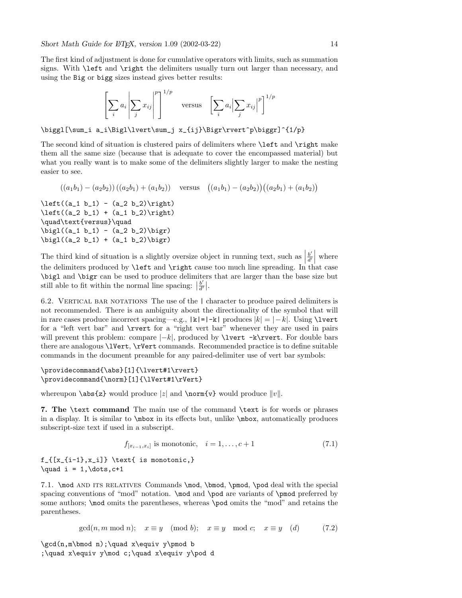The first kind of adjustment is done for cumulative operators with limits, such as summation signs. With \left and \right the delimiters usually turn out larger than necessary, and using the Big or bigg sizes instead gives better results:

$$
\left[\sum_{i} a_i \left| \sum_{j} x_{ij} \right|^p \right]^{1/p} \quad \text{versus} \quad \left[\sum_{i} a_i \left| \sum_{j} x_{ij} \right|^p \right]^{1/p}
$$

\biggl[\sum\_i a\_i\Bigl\lvert\sum\_j x\_{ij}\Bigr\rvert^p\biggr]^{1/p}

The second kind of situation is clustered pairs of delimiters where \left and \right make them all the same size (because that is adequate to cover the encompassed material) but what you really want is to make some of the delimiters slightly larger to make the nesting easier to see.

 $((a_1b_1) - (a_2b_2))((a_2b_1) + (a_1b_2))$  versus  $((a_1b_1) - (a_2b_2))((a_2b_1) + (a_1b_2))$ 

 $\left( (a_1 b_1) - (a_2 b_2) \right)$  $\left( (a_2 b_1) + (a_1 b_2) \right)$ \quad\text{versus}\quad  $\big\{(a_1 b_1) - (a_2 b_2)\big\}$  $\big\{(a_2 b_1) + (a_1 b_2)\big\}$ 

The third kind of situation is a slightly oversize object in running text, such as  $\frac{b'}{d'}$ the delimiters produced by  $\left\{ \alpha \atop \alpha \right\}$  and  $\left\{ \alpha \atop \alpha \right\}$  and  $\left\{ \alpha \atop \alpha \right\}$  and  $\left\{ \alpha \atop \alpha \right\}$  and  $\left\{ \alpha \atop \alpha \right\}$  and  $\left\{ \alpha \atop \alpha \right\}$  and  $\left\{ \alpha \atop \alpha \right\}$  and  $\left\{ \alpha \atop \alpha \right\}$  and  $\left\{ \alpha \atop \alpha \right\}$   $\frac{b'}{d'}\left| \right.$  where \bigl and \bigr can be used to produce delimiters that are larger than the base size but still able to fit within the normal line spacing:  $\frac{b'}{d'}$  $\frac{b'}{d'}\Big|$ .

6.2. VERTICAL BAR NOTATIONS The use of the | character to produce paired delimiters is not recommended. There is an ambiguity about the directionality of the symbol that will in rare cases produce incorrect spacing—e.g.,  $|k|=|-k|$  produces  $|k|=|-k|$ . Using \lvert for a "left vert bar" and \rvert for a "right vert bar" whenever they are used in pairs will prevent this problem: compare  $|-k|$ , produced by **\lvert** -k**\rvert**. For double bars there are analogous \lVert, \rVert commands. Recommended practice is to define suitable commands in the document preamble for any paired-delimiter use of vert bar symbols:

\providecommand{\abs}[1]{\lvert#1\rvert} \providecommand{\norm}[1]{\lVert#1\rVert}

whereupon **\abs{z}** would produce |z| and **\norm{v}** would produce  $||v||$ .

7. The \text command The main use of the command \text is for words or phrases in a display. It is similar to \mbox in its effects but, unlike \mbox, automatically produces subscript-size text if used in a subscript.

$$
f_{[x_{i-1},x_i]} \text{ is monotonic}, \quad i = 1, \dots, c+1 \tag{7.1}
$$

 $f_{[x_{i-1},x_i]}$  \text{ is monotonic,}  $\quad i = 1, \dots, c+1$ 

7.1. \mod and its relatives Commands \mod, \bmod, \pmod, \pod deal with the special spacing conventions of "mod" notation. \mod and \pod are variants of \pmod preferred by some authors; \mod omits the parentheses, whereas \pod omits the "mod" and retains the parentheses.

 $gcd(n, m \mod n);$   $x \equiv y \pmod{b};$   $x \equiv y \mod c;$   $x \equiv y \pmod{(7.2)}$ 

\gcd(n,m\bmod n);\quad x\equiv y\pmod b ;\quad x\equiv y\mod c;\quad x\equiv y\pod d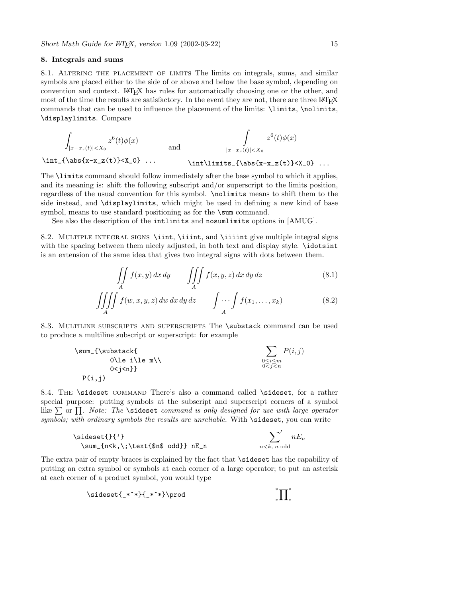### 8. Integrals and sums

8.1. Altering the placement of limits The limits on integrals, sums, and similar symbols are placed either to the side of or above and below the base symbol, depending on convention and context. LATEX has rules for automatically choosing one or the other, and most of the time the results are satisfactory. In the event they are not, there are three L<sup>AT</sup>FX commands that can be used to influence the placement of the limits: \limits, \nolimits, \displaylimits. Compare

$$
\int_{|x-x_z(t)|
$$

 $\int_{\abs\{x-x_z(t)\} ...$ 

$$
\int\limits_{\abs\{x-x_z(t)\}
$$

The \limits command should follow immediately after the base symbol to which it applies, and its meaning is: shift the following subscript and/or superscript to the limits position, regardless of the usual convention for this symbol. \nolimits means to shift them to the side instead, and \displaylimits, which might be used in defining a new kind of base symbol, means to use standard positioning as for the \sum command.

See also the description of the intlimits and nosumlimits options in [AMUG].

8.2. MULTIPLE INTEGRAL SIGNS \iint, \iiint, and \iiiint give multiple integral signs with the spacing between them nicely adjusted, in both text and display style. \idotsint is an extension of the same idea that gives two integral signs with dots between them.

$$
\iint\limits_A f(x,y) \, dx \, dy \qquad \iiint\limits_A f(x,y,z) \, dx \, dy \, dz \tag{8.1}
$$

$$
\iiint\limits_A f(w,x,y,z) \, dw \, dx \, dy \, dz \qquad \int \cdots \int\limits_A f(x_1,\ldots,x_k) \tag{8.2}
$$

8.3. Multiline subscripts and superscripts The \substack command can be used to produce a multiline subscript or superscript: for example

$$
\sum_{\substack{\text{sum_1\in i\le n\\0\le i\le m}} P(i,j) \atop 0 < j < n}} P(i,j)
$$
\n
$$
P(i,j)
$$

8.4. The \sideset command There's also a command called \sideset, for a rather special purpose: putting symbols at the subscript and superscript corners of a symbol like  $\sum$  or  $\prod$ . Note: The \sideset command is only designed for use with large operator symbols; with ordinary symbols the results are unreliable. With \sideset, you can write

```
\n\sideset{}{'}\n\sum_{n\n
$$
\sum_{n
$$

```

The extra pair of empty braces is explained by the fact that \sideset has the capability of putting an extra symbol or symbols at each corner of a large operator; to put an asterisk at each corner of a product symbol, you would type

\sideset{\_\*^\*}{\_\*^\*}\prod ∗ ∗ ∗Y<sup>∗</sup>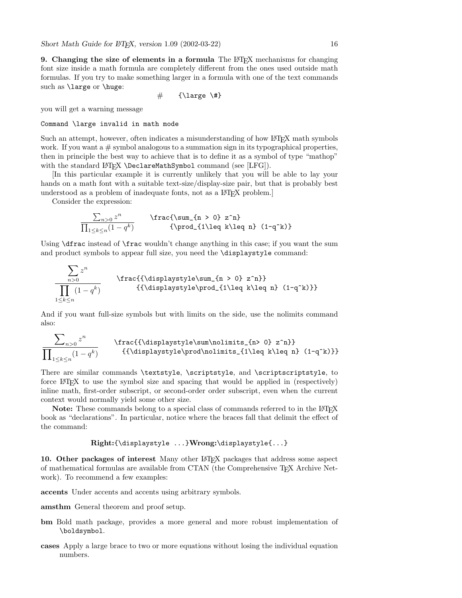9. Changing the size of elements in a formula The L<sup>AT</sup>EX mechanisms for changing font size inside a math formula are completely different from the ones used outside math formulas. If you try to make something larger in a formula with one of the text commands such as \large or \huge:

$$
\# \qquad {\text{llarge \A}}\\
$$

you will get a warning message

## Command \large invalid in math mode

Such an attempt, however, often indicates a misunderstanding of how LAT<sub>E</sub>X math symbols work. If you want a  $\#$  symbol analogous to a summation sign in its typographical properties, then in principle the best way to achieve that is to define it as a symbol of type "mathop" with the standard LAT<sub>EX</sub> \DeclareMathSymbol command (see [LFG]).

[In this particular example it is currently unlikely that you will be able to lay your hands on a math font with a suitable text-size/display-size pair, but that is probably best understood as a problem of inadequate fonts, not as a L<sup>AT</sup>FX problem.

Consider the expression:

$$
\frac{\sum_{n>0} z^n}{\prod_{1\leq k\leq n} (1-q^k)} \qquad \text{where } n > 0\} \ z^n\}
$$
\n
$$
\frac{1}{\text{mod}_{1}\leq k\leq n} \ (1-q^k)
$$

Using \dfrac instead of \frac wouldn't change anything in this case; if you want the sum and product symbols to appear full size, you need the \displaystyle command:

X n>0 z n Y 1≤k≤n (1 − q k ) \frac{{\displaystyle\sum\_{n > 0} z^n}} {{\displaystyle\prod\_{1\leq k\leq n} (1-q^k)}}

And if you want full-size symbols but with limits on the side, use the nolimits command also:

X n>0 z n Y 1≤k≤n (1 − q k ) \frac{{\displaystyle\sum\nolimits\_{n> 0} z^n}} {{\displaystyle\prod\nolimits\_{1\leq k\leq n} (1-q^k)}}

There are similar commands \textstyle, \scriptstyle, and \scriptscriptstyle, to force LATEX to use the symbol size and spacing that would be applied in (respectively) inline math, first-order subscript, or second-order order subscript, even when the current context would normally yield some other size.

Note: These commands belong to a special class of commands referred to in the LATEX book as "declarations". In particular, notice where the braces fall that delimit the effect of the command:

## Right:{\displaystyle ...}Wrong:\displaystyle{...}

10. Other packages of interest Many other LAT<sub>EX</sub> packages that address some aspect of mathematical formulas are available from CTAN (the Comprehensive TEX Archive Network). To recommend a few examples:

accents Under accents and accents using arbitrary symbols.

- amsthm General theorem and proof setup.
- bm Bold math package, provides a more general and more robust implementation of \boldsymbol.
- cases Apply a large brace to two or more equations without losing the individual equation numbers.